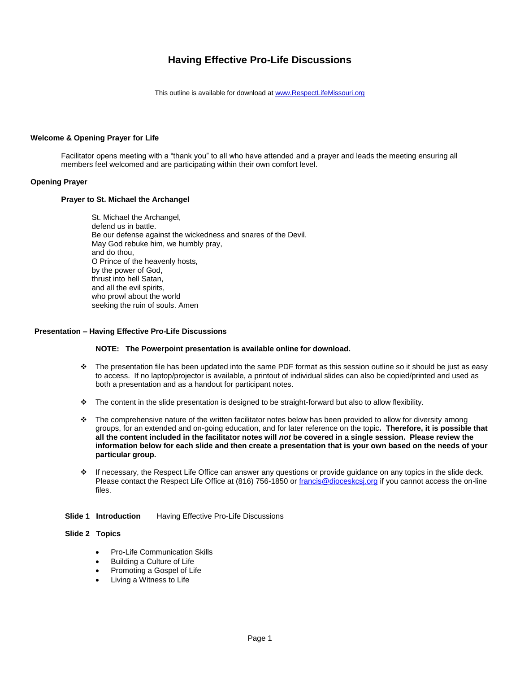# **Having Effective Pro-Life Discussions**

This outline is available for download at [www.RespectLifeMissouri.org](http://www.respectlifemissouri.org/)

### **Welcome & Opening Prayer for Life**

Facilitator opens meeting with a "thank you" to all who have attended and a prayer and leads the meeting ensuring all members feel welcomed and are participating within their own comfort level.

### **Opening Prayer**

#### **Prayer to St. Michael the Archangel**

St. Michael the Archangel, defend us in battle. Be our defense against the wickedness and snares of the Devil. May God rebuke him, we humbly pray, and do thou, O Prince of the heavenly hosts, by the power of God, thrust into hell Satan, and all the evil spirits, who prowl about the world seeking the ruin of souls. Amen

#### **Presentation – Having Effective Pro-Life Discussions**

#### **NOTE: The Powerpoint presentation is available online for download.**

- $\div$  The presentation file has been updated into the same PDF format as this session outline so it should be just as easy to access. If no laptop/projector is available, a printout of individual slides can also be copied/printed and used as both a presentation and as a handout for participant notes.
- The content in the slide presentation is designed to be straight-forward but also to allow flexibility.
- $\cdot$  The comprehensive nature of the written facilitator notes below has been provided to allow for diversity among groups, for an extended and on-going education, and for later reference on the topic**. Therefore, it is possible that all the content included in the facilitator notes will** *not* **be covered in a single session. Please review the information below for each slide and then create a presentation that is your own based on the needs of your particular group.**
- If necessary, the Respect Life Office can answer any questions or provide guidance on any topics in the slide deck. Please contact the Respect Life Office at (816) 756-1850 or [francis@dioceskcsj.org](mailto:francis@dioceskcsj.org) if you cannot access the on-line files.
- **Slide 1 Introduction** Having Effective Pro-Life Discussions

#### **Slide 2 Topics**

- Pro-Life Communication Skills
- Building a Culture of Life
- Promoting a Gospel of Life
- Living a Witness to Life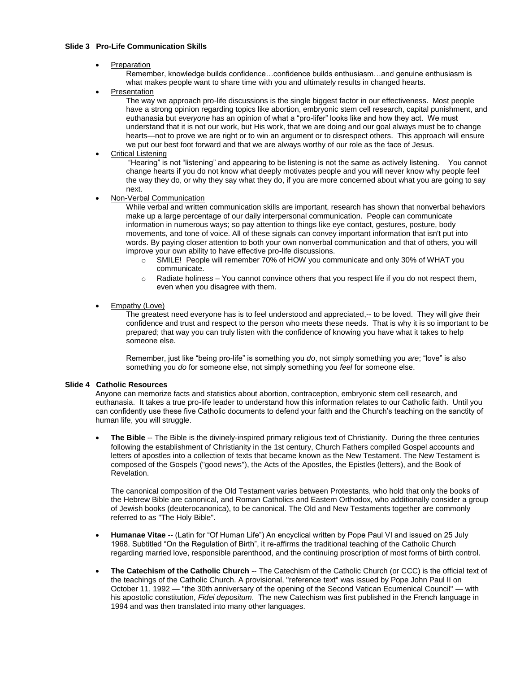### **Slide 3 Pro-Life Communication Skills**

Preparation

Remember, knowledge builds confidence…confidence builds enthusiasm…and genuine enthusiasm is what makes people want to share time with you and ultimately results in changed hearts.

Presentation

The way we approach pro-life discussions is the single biggest factor in our effectiveness. Most people have a strong opinion regarding topics like abortion, embryonic stem cell research, capital punishment, and euthanasia but *everyone* has an opinion of what a "pro-lifer" looks like and how they act. We must understand that it is not our work, but His work, that we are doing and our goal always must be to change hearts—not to prove we are right or to win an argument or to disrespect others. This approach will ensure we put our best foot forward and that we are always worthy of our role as the face of Jesus.

Critical Listening

"Hearing" is not "listening" and appearing to be listening is not the same as actively listening. You cannot change hearts if you do not know what deeply motivates people and you will never know why people feel the way they do, or why they say what they do, if you are more concerned about what you are going to say next.

Non-Verbal Communication

While verbal and written communication skills are important, research has shown that nonverbal behaviors make up a large percentage of our daily interpersonal communication. People can communicate information in numerous ways; so pay attention to things like eye contact, gestures, posture, body movements, and tone of voice. All of these signals can convey important information that isn't put into words. By paying closer attention to both your own nonverbal communication and that of others, you will improve your own ability to have effective pro-life discussions.

- o SMILE! People will remember 70% of HOW you communicate and only 30% of WHAT you communicate.
- $\circ$  Radiate holiness You cannot convince others that you respect life if you do not respect them, even when you disagree with them.
- Empathy (Love)

The greatest need everyone has is to feel understood and appreciated,-- to be loved. They will give their confidence and trust and respect to the person who meets these needs. That is why it is so important to be prepared; that way you can truly listen with the confidence of knowing you have what it takes to help someone else.

Remember, just like "being pro-life" is something you *do*, not simply something you *are*; "love" is also something you *do* for someone else, not simply something you *feel* for someone else.

#### **Slide 4 Catholic Resources**

Anyone can memorize facts and statistics about abortion, contraception, embryonic stem cell research, and euthanasia. It takes a true pro-life leader to understand how this information relates to our Catholic faith. Until you can confidently use these five Catholic documents to defend your faith and the Church's teaching on the sanctity of human life, you will struggle.

 **The Bible** -- The Bible is the divinely-inspired primary religious text of Christianity. During the three centuries following the establishment of Christianity in the 1st century, Church Fathers compiled Gospel accounts and letters of apostles into a collection of texts that became known as the New Testament. The New Testament is composed of the Gospels ("good news"), the Acts of the Apostles, the Epistles (letters), and the Book of Revelation.

The canonical composition of the Old Testament varies between Protestants, who hold that only the books of the Hebrew Bible are canonical, and Roman Catholics and Eastern Orthodox, who additionally consider a group of Jewish books (deuterocanonica), to be canonical. The Old and New Testaments together are commonly referred to as "The Holy Bible".

- **Humanae Vitae** -- (Latin for "Of Human Life") An encyclical written by Pope Paul VI and issued on 25 July 1968. Subtitled "On the Regulation of Birth", it re-affirms the traditional teaching of the Catholic Church regarding married love, responsible parenthood, and the continuing proscription of most forms of birth control.
- **The Catechism of the Catholic Church** -- The Catechism of the Catholic Church (or CCC) is the official text of the teachings of the Catholic Church. A provisional, "reference text" was issued by Pope John Paul II on October 11, 1992 — "the 30th anniversary of the opening of the Second Vatican Ecumenical Council" — with his apostolic constitution, *Fidei depositum*. The new Catechism was first published in the French language in 1994 and was then translated into many other languages.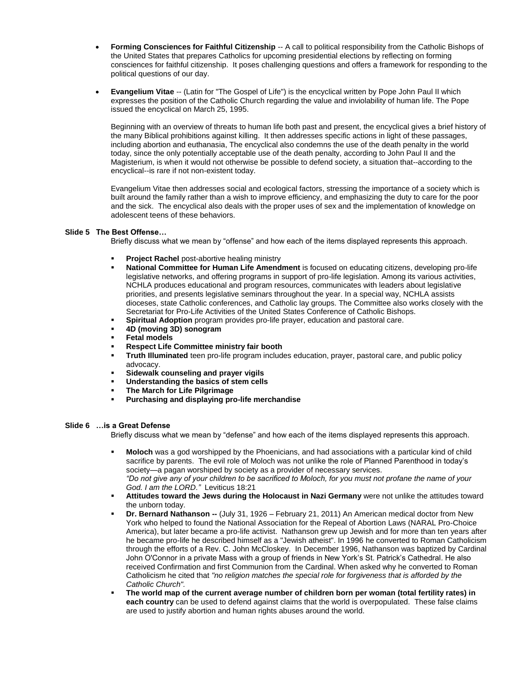- **Forming Consciences for Faithful Citizenship** -- A call to political responsibility from the Catholic Bishops of the United States that prepares Catholics for upcoming presidential elections by reflecting on forming consciences for faithful citizenship. It poses challenging questions and offers a framework for responding to the political questions of our day.
- **Evangelium Vitae** -- (Latin for "The Gospel of Life") is the encyclical written by Pope John Paul II which expresses the position of the Catholic Church regarding the value and inviolability of human life. The Pope issued the encyclical on March 25, 1995.

Beginning with an overview of threats to human life both past and present, the encyclical gives a brief history of the many Biblical prohibitions against killing. It then addresses specific actions in light of these passages, including abortion and euthanasia, The encyclical also condemns the use of the death penalty in the world today, since the only potentially acceptable use of the death penalty, according to John Paul II and the Magisterium, is when it would not otherwise be possible to defend society, a situation that--according to the encyclical--is rare if not non-existent today.

Evangelium Vitae then addresses social and ecological factors, stressing the importance of a society which is built around the family rather than a wish to improve efficiency, and emphasizing the duty to care for the poor and the sick. The encyclical also deals with the proper uses of sex and the implementation of knowledge on adolescent teens of these behaviors.

### **Slide 5 The Best Offense…**

Briefly discuss what we mean by "offense" and how each of the items displayed represents this approach.

- **Project Rachel** post-abortive healing ministry
- **National Committee for Human Life Amendment** is focused on educating citizens, developing pro-life legislative networks, and offering programs in support of pro-life legislation. Among its various activities, NCHLA produces educational and program resources, communicates with leaders about legislative priorities, and presents legislative seminars throughout the year. In a special way, NCHLA assists dioceses, state Catholic conferences, and Catholic lay groups. The Committee also works closely with the Secretariat for Pro-Life Activities of the United States Conference of Catholic Bishops.
- **Spiritual Adoption** program provides pro-life prayer, education and pastoral care.
- **4D (moving 3D) sonogram**
- **Fetal models**
- **Respect Life Committee ministry fair booth**
- **Truth Illuminated** teen pro-life program includes education, prayer, pastoral care, and public policy advocacy.
- **Sidewalk counseling and prayer vigils**
- **Understanding the basics of stem cells**
- **The March for Life Pilgrimage**
- **Purchasing and displaying pro-life merchandise**

### **Slide 6 …is a Great Defense**

Briefly discuss what we mean by "defense" and how each of the items displayed represents this approach.

- **Moloch** was a god worshipped by the Phoenicians, and had associations with a particular kind of child sacrifice by parents. The evil role of Moloch was not unlike the role of Planned Parenthood in today's society—a pagan worshiped by society as a provider of necessary services. *"Do not give any of your children to be sacrificed to Moloch, for you must not profane the name of your God. I am the LORD."* Leviticus 18:21
- **Attitudes toward the Jews during the Holocaust in Nazi Germany** were not unlike the attitudes toward the unborn today.
- **Dr. Bernard Nathanson --** (July 31, 1926 February 21, 2011) An American medical doctor from New York who helped to found the National Association for the Repeal of Abortion Laws (NARAL Pro-Choice America), but later became a pro-life activist. Nathanson grew up Jewish and for more than ten years after he became pro-life he described himself as a "Jewish atheist". In 1996 he converted to Roman Catholicism through the efforts of a Rev. C. John McCloskey. In December 1996, Nathanson was baptized by Cardinal John O'Connor in a private Mass with a group of friends in New York's St. Patrick's Cathedral. He also received Confirmation and first Communion from the Cardinal. When asked why he converted to Roman Catholicism he cited that *"no religion matches the special role for forgiveness that is afforded by the Catholic Church".*
- **The world map of the current average number of children born per woman (total fertility rates) in each country** can be used to defend against claims that the world is overpopulated. These false claims are used to justify abortion and human rights abuses around the world.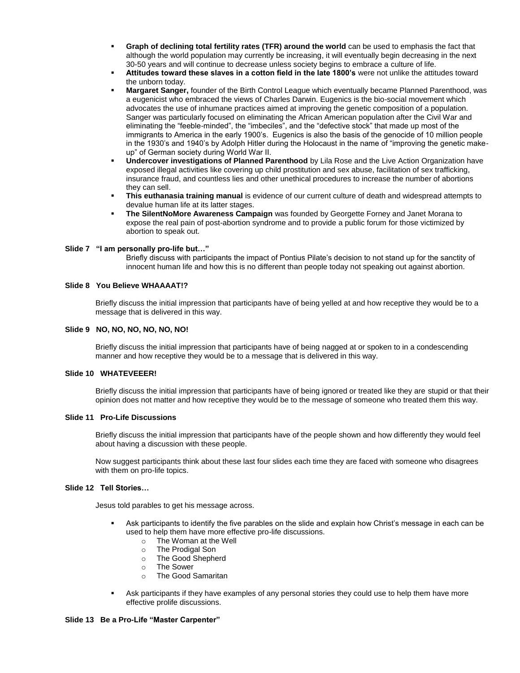- **Graph of declining total fertility rates (TFR) around the world** can be used to emphasis the fact that although the world population may currently be increasing, it will eventually begin decreasing in the next 30-50 years and will continue to decrease unless society begins to embrace a culture of life.
- **Attitudes toward these slaves in a cotton field in the late 1800's** were not unlike the attitudes toward the unborn today.
- **Margaret Sanger,** founder of the Birth Control League which eventually became Planned Parenthood, was a eugenicist who embraced the views of Charles Darwin. Eugenics is the bio-social movement which advocates the use of inhumane practices aimed at improving the genetic composition of a population. Sanger was particularly focused on eliminating the African American population after the Civil War and eliminating the "feeble-minded", the "imbeciles", and the "defective stock" that made up most of the immigrants to America in the early 1900's. Eugenics is also the basis of the genocide of 10 million people in the 1930's and 1940's by Adolph Hitler during the Holocaust in the name of "improving the genetic makeup" of German society during World War II.
- **Undercover investigations of Planned Parenthood** by Lila Rose and the Live Action Organization have exposed illegal activities like covering up child prostitution and sex abuse, facilitation of sex trafficking, insurance fraud, and countless lies and other unethical procedures to increase the number of abortions they can sell.
- **This euthanasia training manual** is evidence of our current culture of death and widespread attempts to devalue human life at its latter stages.
- **The SilentNoMore Awareness Campaign** was founded by Georgette Forney and Janet Morana to expose the real pain of post-abortion syndrome and to provide a public forum for those victimized by abortion to speak out.

#### **Slide 7 "I am personally pro-life but…"**

Briefly discuss with participants the impact of Pontius Pilate's decision to not stand up for the sanctity of innocent human life and how this is no different than people today not speaking out against abortion.

#### **Slide 8 You Believe WHAAAAT!?**

Briefly discuss the initial impression that participants have of being yelled at and how receptive they would be to a message that is delivered in this way.

#### **Slide 9 NO, NO, NO, NO, NO, NO!**

Briefly discuss the initial impression that participants have of being nagged at or spoken to in a condescending manner and how receptive they would be to a message that is delivered in this way.

#### **Slide 10 WHATEVEEER!**

Briefly discuss the initial impression that participants have of being ignored or treated like they are stupid or that their opinion does not matter and how receptive they would be to the message of someone who treated them this way.

#### **Slide 11 Pro-Life Discussions**

Briefly discuss the initial impression that participants have of the people shown and how differently they would feel about having a discussion with these people.

Now suggest participants think about these last four slides each time they are faced with someone who disagrees with them on pro-life topics.

### **Slide 12 Tell Stories…**

Jesus told parables to get his message across.

- Ask participants to identify the five parables on the slide and explain how Christ's message in each can be used to help them have more effective pro-life discussions.
	- o The Woman at the Well
	- o The Prodigal Son
	- o The Good Shepherd
	- o The Sower
	- o The Good Samaritan
- Ask participants if they have examples of any personal stories they could use to help them have more effective prolife discussions.

#### **Slide 13 Be a Pro-Life "Master Carpenter"**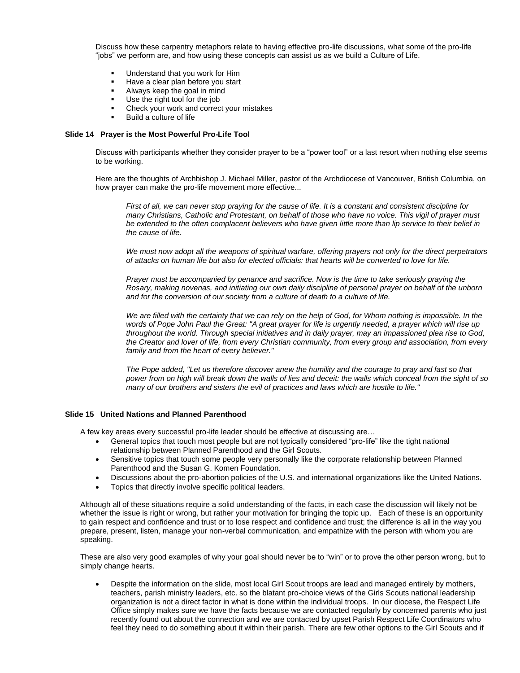Discuss how these carpentry metaphors relate to having effective pro-life discussions, what some of the pro-life "jobs" we perform are, and how using these concepts can assist us as we build a Culture of Life.

- Understand that you work for Him
- Have a clear plan before you start
- Always keep the goal in mind
- Use the right tool for the job
- Check your work and correct your mistakes
- Build a culture of life

#### **Slide 14 Prayer is the Most Powerful Pro-Life Tool**

Discuss with participants whether they consider prayer to be a "power tool" or a last resort when nothing else seems to be working.

Here are the thoughts of Archbishop J. Michael Miller, pastor of the Archdiocese of Vancouver, British Columbia, on how prayer can make the pro-life movement more effective...

*First of all, we can never stop praying for the cause of life. It is a constant and consistent discipline for many Christians, Catholic and Protestant, on behalf of those who have no voice. This vigil of prayer must be extended to the often complacent believers who have given little more than lip service to their belief in the cause of life.*

*We must now adopt all the weapons of spiritual warfare, offering prayers not only for the direct perpetrators of attacks on human life but also for elected officials: that hearts will be converted to love for life.*

*Prayer must be accompanied by penance and sacrifice. Now is the time to take seriously praying the Rosary, making novenas, and initiating our own daily discipline of personal prayer on behalf of the unborn and for the conversion of our society from a culture of death to a culture of life.*

*We are filled with the certainty that we can rely on the help of God, for Whom nothing is impossible. In the words of Pope John Paul the Great: "A great prayer for life is urgently needed, a prayer which will rise up throughout the world. Through special initiatives and in daily prayer, may an impassioned plea rise to God, the Creator and lover of life, from every Christian community, from every group and association, from every family and from the heart of every believer."*

*The Pope added, "Let us therefore discover anew the humility and the courage to pray and fast so that power from on high will break down the walls of lies and deceit: the walls which conceal from the sight of so many of our brothers and sisters the evil of practices and laws which are hostile to life."*

#### **Slide 15 United Nations and Planned Parenthood**

A few key areas every successful pro-life leader should be effective at discussing are…

- General topics that touch most people but are not typically considered "pro-life" like the tight national relationship between Planned Parenthood and the Girl Scouts.
- Sensitive topics that touch some people very personally like the corporate relationship between Planned Parenthood and the Susan G. Komen Foundation.
- Discussions about the pro-abortion policies of the U.S. and international organizations like the United Nations.
- Topics that directly involve specific political leaders.

Although all of these situations require a solid understanding of the facts, in each case the discussion will likely not be whether the issue is right or wrong, but rather your motivation for bringing the topic up. Each of these is an opportunity to gain respect and confidence and trust or to lose respect and confidence and trust; the difference is all in the way you prepare, present, listen, manage your non-verbal communication, and empathize with the person with whom you are speaking.

These are also very good examples of why your goal should never be to "win" or to prove the other person wrong, but to simply change hearts.

 Despite the information on the slide, most local Girl Scout troops are lead and managed entirely by mothers, teachers, parish ministry leaders, etc. so the blatant pro-choice views of the Girls Scouts national leadership organization is not a direct factor in what is done within the individual troops. In our diocese, the Respect Life Office simply makes sure we have the facts because we are contacted regularly by concerned parents who just recently found out about the connection and we are contacted by upset Parish Respect Life Coordinators who feel they need to do something about it within their parish. There are few other options to the Girl Scouts and if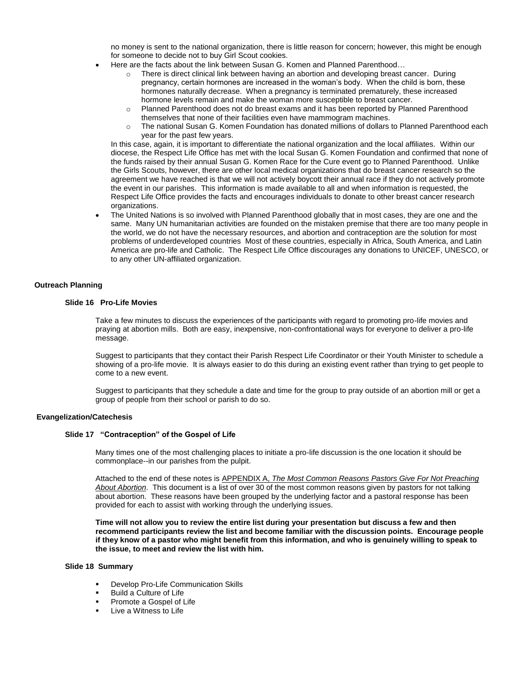no money is sent to the national organization, there is little reason for concern; however, this might be enough for someone to decide not to buy Girl Scout cookies.

- Here are the facts about the link between Susan G. Komen and Planned Parenthood…
	- $\circ$  There is direct clinical link between having an abortion and developing breast cancer. During pregnancy, certain hormones are increased in the woman's body. When the child is born, these hormones naturally decrease. When a pregnancy is terminated prematurely, these increased hormone levels remain and make the woman more susceptible to breast cancer.
	- o Planned Parenthood does not do breast exams and it has been reported by Planned Parenthood themselves that none of their facilities even have mammogram machines.
	- o The national Susan G. Komen Foundation has donated millions of dollars to Planned Parenthood each year for the past few years.

In this case, again, it is important to differentiate the national organization and the local affiliates. Within our diocese, the Respect Life Office has met with the local Susan G. Komen Foundation and confirmed that none of the funds raised by their annual Susan G. Komen Race for the Cure event go to Planned Parenthood. Unlike the Girls Scouts, however, there are other local medical organizations that do breast cancer research so the agreement we have reached is that we will not actively boycott their annual race if they do not actively promote the event in our parishes. This information is made available to all and when information is requested, the Respect Life Office provides the facts and encourages individuals to donate to other breast cancer research organizations.

 The United Nations is so involved with Planned Parenthood globally that in most cases, they are one and the same. Many UN humanitarian activities are founded on the mistaken premise that there are too many people in the world, we do not have the necessary resources, and abortion and contraception are the solution for most problems of underdeveloped countries Most of these countries, especially in Africa, South America, and Latin America are pro-life and Catholic. The Respect Life Office discourages any donations to UNICEF, UNESCO, or to any other UN-affiliated organization.

### **Outreach Planning**

#### **Slide 16 Pro-Life Movies**

Take a few minutes to discuss the experiences of the participants with regard to promoting pro-life movies and praying at abortion mills. Both are easy, inexpensive, non-confrontational ways for everyone to deliver a pro-life message.

Suggest to participants that they contact their Parish Respect Life Coordinator or their Youth Minister to schedule a showing of a pro-life movie. It is always easier to do this during an existing event rather than trying to get people to come to a new event.

Suggest to participants that they schedule a date and time for the group to pray outside of an abortion mill or get a group of people from their school or parish to do so.

#### **Evangelization/Catechesis**

#### **Slide 17 "Contraception" of the Gospel of Life**

Many times one of the most challenging places to initiate a pro-life discussion is the one location it should be commonplace--in our parishes from the pulpit.

Attached to the end of these notes is APPENDIX A, *The Most Common Reasons Pastors Give For Not Preaching About Abortion*. This document is a list of over 30 of the most common reasons given by pastors for not talking about abortion. These reasons have been grouped by the underlying factor and a pastoral response has been provided for each to assist with working through the underlying issues.

**Time will not allow you to review the entire list during your presentation but discuss a few and then recommend participants review the list and become familiar with the discussion points. Encourage people if they know of a pastor who might benefit from this information, and who is genuinely willing to speak to the issue, to meet and review the list with him.**

#### **Slide 18 Summary**

- Develop Pro-Life Communication Skills
- Build a Culture of Life
- Promote a Gospel of Life
- Live a Witness to Life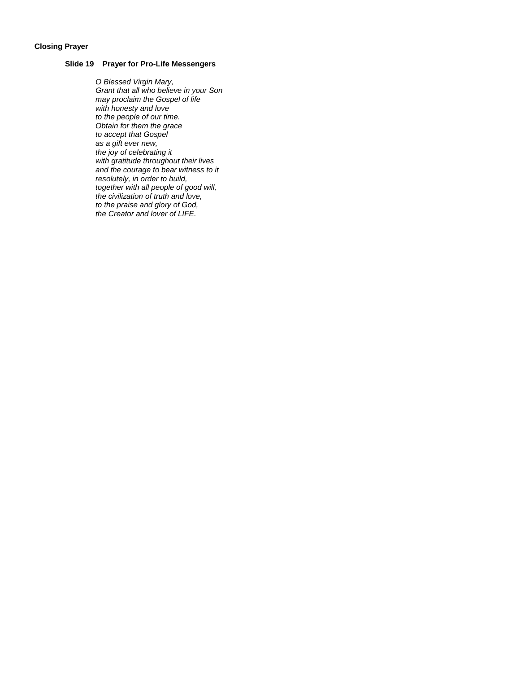### **Closing Prayer**

### **Slide 19 Prayer for Pro-Life Messengers**

*O Blessed Virgin Mary, Grant that all who believe in your Son may proclaim the Gospel of life with honesty and love to the people of our time. Obtain for them the grace to accept that Gospel as a gift ever new, the joy of celebrating it with gratitude throughout their lives and the courage to bear witness to it resolutely, in order to build, together with all people of good will, the civilization of truth and love, to the praise and glory of God, the Creator and lover of LIFE.*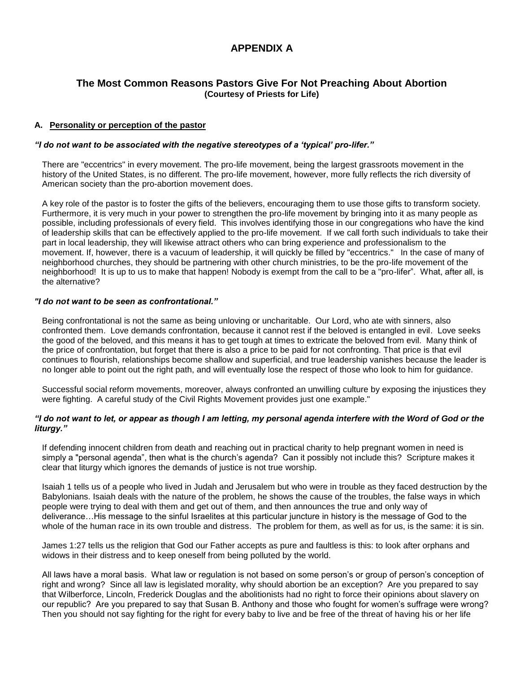# **APPENDIX A**

# **The Most Common Reasons Pastors Give For Not Preaching About Abortion (Courtesy of Priests for Life)**

# **A. Personality or perception of the pastor**

# *"I do not want to be associated with the negative stereotypes of a 'typical' pro-lifer."*

There are "eccentrics" in every movement. The pro-life movement, being the largest grassroots movement in the history of the United States, is no different. The pro-life movement, however, more fully reflects the rich diversity of American society than the pro-abortion movement does.

A key role of the pastor is to foster the gifts of the believers, encouraging them to use those gifts to transform society. Furthermore, it is very much in your power to strengthen the pro-life movement by bringing into it as many people as possible, including professionals of every field. This involves identifying those in our congregations who have the kind of leadership skills that can be effectively applied to the pro-life movement. If we call forth such individuals to take their part in local leadership, they will likewise attract others who can bring experience and professionalism to the movement. If, however, there is a vacuum of leadership, it will quickly be filled by "eccentrics." In the case of many of neighborhood churches, they should be partnering with other church ministries, to be the pro-life movement of the neighborhood! It is up to us to make that happen! Nobody is exempt from the call to be a "pro-lifer". What, after all, is the alternative?

### *"I do not want to be seen as confrontational."*

Being confrontational is not the same as being unloving or uncharitable. Our Lord, who ate with sinners, also confronted them. Love demands confrontation, because it cannot rest if the beloved is entangled in evil. Love seeks the good of the beloved, and this means it has to get tough at times to extricate the beloved from evil. Many think of the price of confrontation, but forget that there is also a price to be paid for not confronting. That price is that evil continues to flourish, relationships become shallow and superficial, and true leadership vanishes because the leader is no longer able to point out the right path, and will eventually lose the respect of those who look to him for guidance.

Successful social reform movements, moreover, always confronted an unwilling culture by exposing the injustices they were fighting. A careful study of the Civil Rights Movement provides just one example."

## *"I do not want to let, or appear as though I am letting, my personal agenda interfere with the Word of God or the liturgy."*

If defending innocent children from death and reaching out in practical charity to help pregnant women in need is simply a "personal agenda", then what is the church's agenda? Can it possibly not include this? Scripture makes it clear that liturgy which ignores the demands of justice is not true worship.

Isaiah 1 tells us of a people who lived in Judah and Jerusalem but who were in trouble as they faced destruction by the Babylonians. Isaiah deals with the nature of the problem, he shows the cause of the troubles, the false ways in which people were trying to deal with them and get out of them, and then announces the true and only way of deliverance…His message to the sinful Israelites at this particular juncture in history is the message of God to the whole of the human race in its own trouble and distress. The problem for them, as well as for us, is the same: it is sin.

James 1:27 tells us the religion that God our Father accepts as pure and faultless is this: to look after orphans and widows in their distress and to keep oneself from being polluted by the world.

All laws have a moral basis. What law or regulation is not based on some person's or group of person's conception of right and wrong? Since all law is legislated morality, why should abortion be an exception? Are you prepared to say that Wilberforce, Lincoln, Frederick Douglas and the abolitionists had no right to force their opinions about slavery on our republic? Are you prepared to say that Susan B. Anthony and those who fought for women's suffrage were wrong? Then you should not say fighting for the right for every baby to live and be free of the threat of having his or her life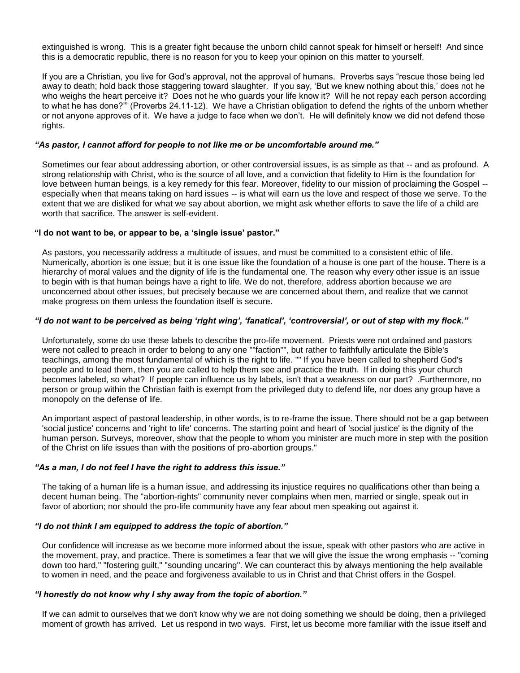extinguished is wrong. This is a greater fight because the unborn child cannot speak for himself or herself! And since this is a democratic republic, there is no reason for you to keep your opinion on this matter to yourself.

If you are a Christian, you live for God's approval, not the approval of humans. Proverbs says "rescue those being led away to death; hold back those staggering toward slaughter. If you say, 'But we knew nothing about this,' does not he who weighs the heart perceive it? Does not he who guards your life know it? Will he not repay each person according to what he has done?'" (Proverbs 24.11-12). We have a Christian obligation to defend the rights of the unborn whether or not anyone approves of it. We have a judge to face when we don't. He will definitely know we did not defend those rights.

# *"As pastor, I cannot afford for people to not like me or be uncomfortable around me."*

Sometimes our fear about addressing abortion, or other controversial issues, is as simple as that -- and as profound. A strong relationship with Christ, who is the source of all love, and a conviction that fidelity to Him is the foundation for love between human beings, is a key remedy for this fear. Moreover, fidelity to our mission of proclaiming the Gospel - especially when that means taking on hard issues -- is what will earn us the love and respect of those we serve. To the extent that we are disliked for what we say about abortion, we might ask whether efforts to save the life of a child are worth that sacrifice. The answer is self-evident.

### **"I do not want to be, or appear to be, a 'single issue' pastor."**

As pastors, you necessarily address a multitude of issues, and must be committed to a consistent ethic of life. Numerically, abortion is one issue; but it is one issue like the foundation of a house is one part of the house. There is a hierarchy of moral values and the dignity of life is the fundamental one. The reason why every other issue is an issue to begin with is that human beings have a right to life. We do not, therefore, address abortion because we are unconcerned about other issues, but precisely because we are concerned about them, and realize that we cannot make progress on them unless the foundation itself is secure.

### *"I do not want to be perceived as being 'right wing', 'fanatical', 'controversial', or out of step with my flock."*

Unfortunately, some do use these labels to describe the pro-life movement. Priests were not ordained and pastors were not called to preach in order to belong to any one ""faction"", but rather to faithfully articulate the Bible's teachings, among the most fundamental of which is the right to life. "" If you have been called to shepherd God's people and to lead them, then you are called to help them see and practice the truth. If in doing this your church becomes labeled, so what? If people can influence us by labels, isn't that a weakness on our part? .Furthermore, no person or group within the Christian faith is exempt from the privileged duty to defend life, nor does any group have a monopoly on the defense of life.

An important aspect of pastoral leadership, in other words, is to re-frame the issue. There should not be a gap between 'social justice' concerns and 'right to life' concerns. The starting point and heart of 'social justice' is the dignity of the human person. Surveys, moreover, show that the people to whom you minister are much more in step with the position of the Christ on life issues than with the positions of pro-abortion groups."

# *"As a man, I do not feel I have the right to address this issue."*

The taking of a human life is a human issue, and addressing its injustice requires no qualifications other than being a decent human being. The "abortion-rights" community never complains when men, married or single, speak out in favor of abortion; nor should the pro-life community have any fear about men speaking out against it.

### *"I do not think I am equipped to address the topic of abortion."*

Our confidence will increase as we become more informed about the issue, speak with other pastors who are active in the movement, pray, and practice. There is sometimes a fear that we will give the issue the wrong emphasis -- "coming down too hard," "fostering guilt," "sounding uncaring". We can counteract this by always mentioning the help available to women in need, and the peace and forgiveness available to us in Christ and that Christ offers in the Gospel.

## *"I honestly do not know why I shy away from the topic of abortion."*

If we can admit to ourselves that we don't know why we are not doing something we should be doing, then a privileged moment of growth has arrived. Let us respond in two ways. First, let us become more familiar with the issue itself and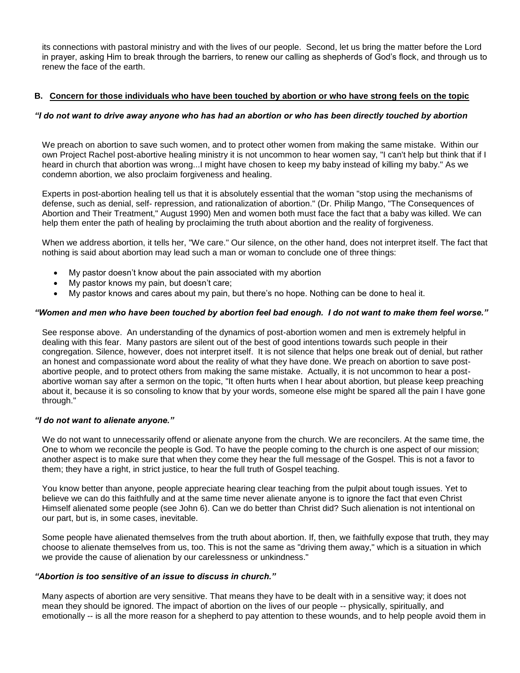its connections with pastoral ministry and with the lives of our people. Second, let us bring the matter before the Lord in prayer, asking Him to break through the barriers, to renew our calling as shepherds of God's flock, and through us to renew the face of the earth.

# **B. Concern for those individuals who have been touched by abortion or who have strong feels on the topic**

# *"I do not want to drive away anyone who has had an abortion or who has been directly touched by abortion*

We preach on abortion to save such women, and to protect other women from making the same mistake. Within our own Project Rachel post-abortive healing ministry it is not uncommon to hear women say, "I can't help but think that if I heard in church that abortion was wrong...I might have chosen to keep my baby instead of killing my baby." As we condemn abortion, we also proclaim forgiveness and healing.

Experts in post-abortion healing tell us that it is absolutely essential that the woman "stop using the mechanisms of defense, such as denial, self- repression, and rationalization of abortion." (Dr. Philip Mango, "The Consequences of Abortion and Their Treatment," August 1990) Men and women both must face the fact that a baby was killed. We can help them enter the path of healing by proclaiming the truth about abortion and the reality of forgiveness.

When we address abortion, it tells her, "We care." Our silence, on the other hand, does not interpret itself. The fact that nothing is said about abortion may lead such a man or woman to conclude one of three things:

- My pastor doesn't know about the pain associated with my abortion
- My pastor knows my pain, but doesn't care;
- My pastor knows and cares about my pain, but there's no hope. Nothing can be done to heal it.

# *"Women and men who have been touched by abortion feel bad enough. I do not want to make them feel worse."*

See response above. An understanding of the dynamics of post-abortion women and men is extremely helpful in dealing with this fear. Many pastors are silent out of the best of good intentions towards such people in their congregation. Silence, however, does not interpret itself. It is not silence that helps one break out of denial, but rather an honest and compassionate word about the reality of what they have done. We preach on abortion to save postabortive people, and to protect others from making the same mistake. Actually, it is not uncommon to hear a postabortive woman say after a sermon on the topic, "It often hurts when I hear about abortion, but please keep preaching about it, because it is so consoling to know that by your words, someone else might be spared all the pain I have gone through."

## *"I do not want to alienate anyone."*

We do not want to unnecessarily offend or alienate anyone from the church. We are reconcilers. At the same time, the One to whom we reconcile the people is God. To have the people coming to the church is one aspect of our mission; another aspect is to make sure that when they come they hear the full message of the Gospel. This is not a favor to them; they have a right, in strict justice, to hear the full truth of Gospel teaching.

You know better than anyone, people appreciate hearing clear teaching from the pulpit about tough issues. Yet to believe we can do this faithfully and at the same time never alienate anyone is to ignore the fact that even Christ Himself alienated some people (see John 6). Can we do better than Christ did? Such alienation is not intentional on our part, but is, in some cases, inevitable.

Some people have alienated themselves from the truth about abortion. If, then, we faithfully expose that truth, they may choose to alienate themselves from us, too. This is not the same as "driving them away," which is a situation in which we provide the cause of alienation by our carelessness or unkindness."

## *"Abortion is too sensitive of an issue to discuss in church."*

Many aspects of abortion are very sensitive. That means they have to be dealt with in a sensitive way; it does not mean they should be ignored. The impact of abortion on the lives of our people -- physically, spiritually, and emotionally -- is all the more reason for a shepherd to pay attention to these wounds, and to help people avoid them in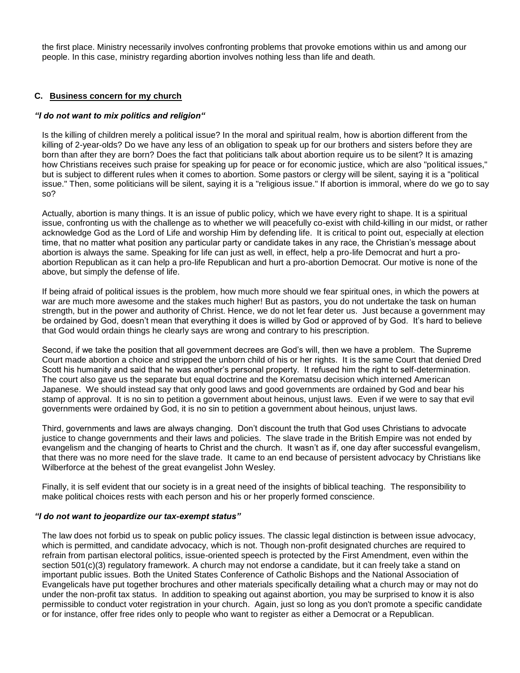the first place. Ministry necessarily involves confronting problems that provoke emotions within us and among our people. In this case, ministry regarding abortion involves nothing less than life and death.

# **C. Business concern for my church**

# *"I do not want to mix politics and religion"*

Is the killing of children merely a political issue? In the moral and spiritual realm, how is abortion different from the killing of 2-year-olds? Do we have any less of an obligation to speak up for our brothers and sisters before they are born than after they are born? Does the fact that politicians talk about abortion require us to be silent? It is amazing how Christians receives such praise for speaking up for peace or for economic justice, which are also "political issues," but is subject to different rules when it comes to abortion. Some pastors or clergy will be silent, saying it is a "political issue." Then, some politicians will be silent, saying it is a "religious issue." If abortion is immoral, where do we go to say so?

Actually, abortion is many things. It is an issue of public policy, which we have every right to shape. It is a spiritual issue, confronting us with the challenge as to whether we will peacefully co-exist with child-killing in our midst, or rather acknowledge God as the Lord of Life and worship Him by defending life. It is critical to point out, especially at election time, that no matter what position any particular party or candidate takes in any race, the Christian's message about abortion is always the same. Speaking for life can just as well, in effect, help a pro-life Democrat and hurt a proabortion Republican as it can help a pro-life Republican and hurt a pro-abortion Democrat. Our motive is none of the above, but simply the defense of life.

If being afraid of political issues is the problem, how much more should we fear spiritual ones, in which the powers at war are much more awesome and the stakes much higher! But as pastors, you do not undertake the task on human strength, but in the power and authority of Christ. Hence, we do not let fear deter us. Just because a government may be ordained by God, doesn't mean that everything it does is willed by God or approved of by God. It's hard to believe that God would ordain things he clearly says are wrong and contrary to his prescription.

Second, if we take the position that all government decrees are God's will, then we have a problem. The Supreme Court made abortion a choice and stripped the unborn child of his or her rights. It is the same Court that denied Dred Scott his humanity and said that he was another's personal property. It refused him the right to self-determination. The court also gave us the separate but equal doctrine and the Korematsu decision which interned American Japanese. We should instead say that only good laws and good governments are ordained by God and bear his stamp of approval. It is no sin to petition a government about heinous, unjust laws. Even if we were to say that evil governments were ordained by God, it is no sin to petition a government about heinous, unjust laws.

Third, governments and laws are always changing. Don't discount the truth that God uses Christians to advocate justice to change governments and their laws and policies. The slave trade in the British Empire was not ended by evangelism and the changing of hearts to Christ and the church. It wasn't as if, one day after successful evangelism, that there was no more need for the slave trade. It came to an end because of persistent advocacy by Christians like Wilberforce at the behest of the great evangelist John Wesley.

Finally, it is self evident that our society is in a great need of the insights of biblical teaching. The responsibility to make political choices rests with each person and his or her properly formed conscience.

## *"I do not want to jeopardize our tax-exempt status"*

The law does not forbid us to speak on public policy issues. The classic legal distinction is between issue advocacy, which is permitted, and candidate advocacy, which is not. Though non-profit designated churches are required to refrain from partisan electoral politics, issue-oriented speech is protected by the First Amendment, even within the section 501(c)(3) regulatory framework. A church may not endorse a candidate, but it can freely take a stand on important public issues. Both the United States Conference of Catholic Bishops and the National Association of Evangelicals have put together brochures and other materials specifically detailing what a church may or may not do under the non-profit tax status. In addition to speaking out against abortion, you may be surprised to know it is also permissible to conduct voter registration in your church. Again, just so long as you don't promote a specific candidate or for instance, offer free rides only to people who want to register as either a Democrat or a Republican.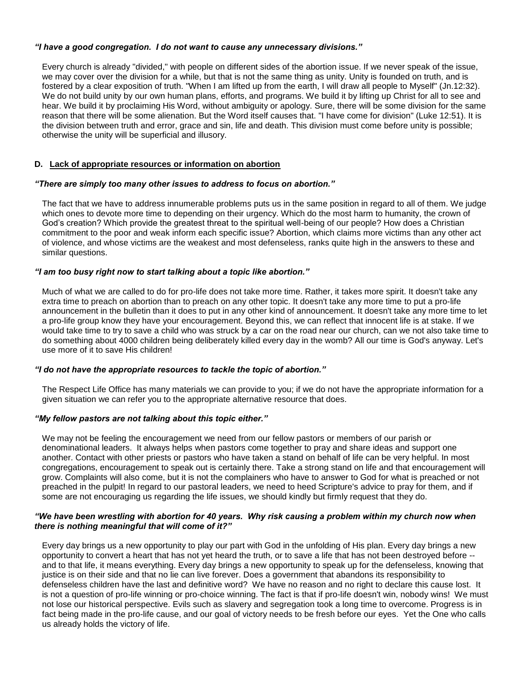# *"I have a good congregation. I do not want to cause any unnecessary divisions."*

Every church is already "divided," with people on different sides of the abortion issue. If we never speak of the issue, we may cover over the division for a while, but that is not the same thing as unity. Unity is founded on truth, and is fostered by a clear exposition of truth. "When I am lifted up from the earth, I will draw all people to Myself" (Jn.12:32). We do not build unity by our own human plans, efforts, and programs. We build it by lifting up Christ for all to see and hear. We build it by proclaiming His Word, without ambiguity or apology. Sure, there will be some division for the same reason that there will be some alienation. But the Word itself causes that. "I have come for division" (Luke 12:51). It is the division between truth and error, grace and sin, life and death. This division must come before unity is possible; otherwise the unity will be superficial and illusory.

# **D. Lack of appropriate resources or information on abortion**

# *"There are simply too many other issues to address to focus on abortion."*

The fact that we have to address innumerable problems puts us in the same position in regard to all of them. We judge which ones to devote more time to depending on their urgency. Which do the most harm to humanity, the crown of God's creation? Which provide the greatest threat to the spiritual well-being of our people? How does a Christian commitment to the poor and weak inform each specific issue? Abortion, which claims more victims than any other act of violence, and whose victims are the weakest and most defenseless, ranks quite high in the answers to these and similar questions.

# *"I am too busy right now to start talking about a topic like abortion."*

Much of what we are called to do for pro-life does not take more time. Rather, it takes more spirit. It doesn't take any extra time to preach on abortion than to preach on any other topic. It doesn't take any more time to put a pro-life announcement in the bulletin than it does to put in any other kind of announcement. It doesn't take any more time to let a pro-life group know they have your encouragement. Beyond this, we can reflect that innocent life is at stake. If we would take time to try to save a child who was struck by a car on the road near our church, can we not also take time to do something about 4000 children being deliberately killed every day in the womb? All our time is God's anyway. Let's use more of it to save His children!

## *"I do not have the appropriate resources to tackle the topic of abortion."*

The Respect Life Office has many materials we can provide to you; if we do not have the appropriate information for a given situation we can refer you to the appropriate alternative resource that does.

# *"My fellow pastors are not talking about this topic either."*

We may not be feeling the encouragement we need from our fellow pastors or members of our parish or denominational leaders. It always helps when pastors come together to pray and share ideas and support one another. Contact with other priests or pastors who have taken a stand on behalf of life can be very helpful. In most congregations, encouragement to speak out is certainly there. Take a strong stand on life and that encouragement will grow. Complaints will also come, but it is not the complainers who have to answer to God for what is preached or not preached in the pulpit! In regard to our pastoral leaders, we need to heed Scripture's advice to pray for them, and if some are not encouraging us regarding the life issues, we should kindly but firmly request that they do.

## *"We have been wrestling with abortion for 40 years. Why risk causing a problem within my church now when there is nothing meaningful that will come of it?"*

Every day brings us a new opportunity to play our part with God in the unfolding of His plan. Every day brings a new opportunity to convert a heart that has not yet heard the truth, or to save a life that has not been destroyed before - and to that life, it means everything. Every day brings a new opportunity to speak up for the defenseless, knowing that justice is on their side and that no lie can live forever. Does a government that abandons its responsibility to defenseless children have the last and definitive word? We have no reason and no right to declare this cause lost. It is not a question of pro-life winning or pro-choice winning. The fact is that if pro-life doesn't win, nobody wins! We must not lose our historical perspective. Evils such as slavery and segregation took a long time to overcome. Progress is in fact being made in the pro-life cause, and our goal of victory needs to be fresh before our eyes. Yet the One who calls us already holds the victory of life.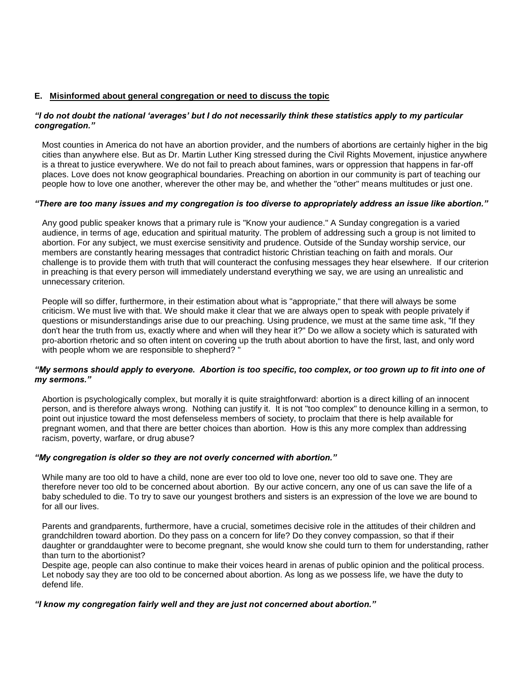# **E. Misinformed about general congregation or need to discuss the topic**

# *"I do not doubt the national 'averages' but I do not necessarily think these statistics apply to my particular congregation."*

Most counties in America do not have an abortion provider, and the numbers of abortions are certainly higher in the big cities than anywhere else. But as Dr. Martin Luther King stressed during the Civil Rights Movement, injustice anywhere is a threat to justice everywhere. We do not fail to preach about famines, wars or oppression that happens in far-off places. Love does not know geographical boundaries. Preaching on abortion in our community is part of teaching our people how to love one another, wherever the other may be, and whether the "other" means multitudes or just one.

# *"There are too many issues and my congregation is too diverse to appropriately address an issue like abortion."*

Any good public speaker knows that a primary rule is "Know your audience." A Sunday congregation is a varied audience, in terms of age, education and spiritual maturity. The problem of addressing such a group is not limited to abortion. For any subject, we must exercise sensitivity and prudence. Outside of the Sunday worship service, our members are constantly hearing messages that contradict historic Christian teaching on faith and morals. Our challenge is to provide them with truth that will counteract the confusing messages they hear elsewhere. If our criterion in preaching is that every person will immediately understand everything we say, we are using an unrealistic and unnecessary criterion.

People will so differ, furthermore, in their estimation about what is "appropriate," that there will always be some criticism. We must live with that. We should make it clear that we are always open to speak with people privately if questions or misunderstandings arise due to our preaching. Using prudence, we must at the same time ask, "If they don't hear the truth from us, exactly where and when will they hear it?" Do we allow a society which is saturated with pro-abortion rhetoric and so often intent on covering up the truth about abortion to have the first, last, and only word with people whom we are responsible to shepherd? "

## *"My sermons should apply to everyone. Abortion is too specific, too complex, or too grown up to fit into one of my sermons."*

Abortion is psychologically complex, but morally it is quite straightforward: abortion is a direct killing of an innocent person, and is therefore always wrong. Nothing can justify it. It is not "too complex" to denounce killing in a sermon, to point out injustice toward the most defenseless members of society, to proclaim that there is help available for pregnant women, and that there are better choices than abortion. How is this any more complex than addressing racism, poverty, warfare, or drug abuse?

## *"My congregation is older so they are not overly concerned with abortion."*

While many are too old to have a child, none are ever too old to love one, never too old to save one. They are therefore never too old to be concerned about abortion. By our active concern, any one of us can save the life of a baby scheduled to die. To try to save our youngest brothers and sisters is an expression of the love we are bound to for all our lives.

Parents and grandparents, furthermore, have a crucial, sometimes decisive role in the attitudes of their children and grandchildren toward abortion. Do they pass on a concern for life? Do they convey compassion, so that if their daughter or granddaughter were to become pregnant, she would know she could turn to them for understanding, rather than turn to the abortionist?

Despite age, people can also continue to make their voices heard in arenas of public opinion and the political process. Let nobody say they are too old to be concerned about abortion. As long as we possess life, we have the duty to defend life.

## *"I know my congregation fairly well and they are just not concerned about abortion."*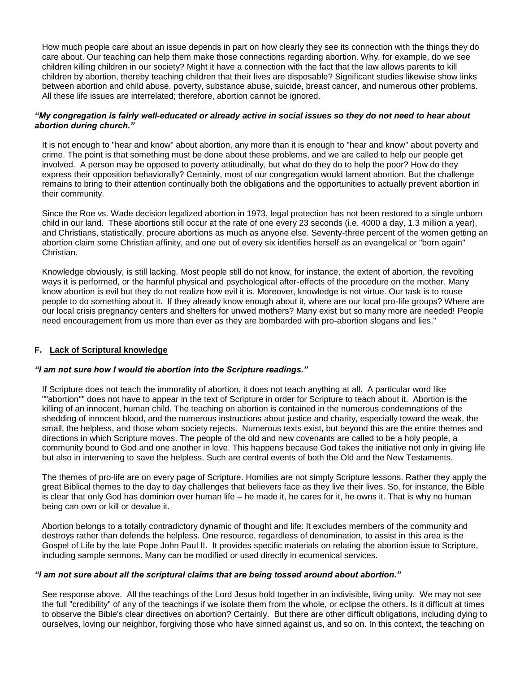How much people care about an issue depends in part on how clearly they see its connection with the things they do care about. Our teaching can help them make those connections regarding abortion. Why, for example, do we see children killing children in our society? Might it have a connection with the fact that the law allows parents to kill children by abortion, thereby teaching children that their lives are disposable? Significant studies likewise show links between abortion and child abuse, poverty, substance abuse, suicide, breast cancer, and numerous other problems. All these life issues are interrelated; therefore, abortion cannot be ignored.

# *"My congregation is fairly well-educated or already active in social issues so they do not need to hear about abortion during church."*

It is not enough to "hear and know" about abortion, any more than it is enough to "hear and know" about poverty and crime. The point is that something must be done about these problems, and we are called to help our people get involved. A person may be opposed to poverty attitudinally, but what do they do to help the poor? How do they express their opposition behaviorally? Certainly, most of our congregation would lament abortion. But the challenge remains to bring to their attention continually both the obligations and the opportunities to actually prevent abortion in their community.

Since the Roe vs. Wade decision legalized abortion in 1973, legal protection has not been restored to a single unborn child in our land. These abortions still occur at the rate of one every 23 seconds (i.e. 4000 a day, 1.3 million a year), and Christians, statistically, procure abortions as much as anyone else. Seventy-three percent of the women getting an abortion claim some Christian affinity, and one out of every six identifies herself as an evangelical or "born again" Christian.

Knowledge obviously, is still lacking. Most people still do not know, for instance, the extent of abortion, the revolting ways it is performed, or the harmful physical and psychological after-effects of the procedure on the mother. Many know abortion is evil but they do not realize how evil it is. Moreover, knowledge is not virtue. Our task is to rouse people to do something about it. If they already know enough about it, where are our local pro-life groups? Where are our local crisis pregnancy centers and shelters for unwed mothers? Many exist but so many more are needed! People need encouragement from us more than ever as they are bombarded with pro-abortion slogans and lies."

# **F. Lack of Scriptural knowledge**

# *"I am not sure how I would tie abortion into the Scripture readings."*

If Scripture does not teach the immorality of abortion, it does not teach anything at all. A particular word like ""abortion"" does not have to appear in the text of Scripture in order for Scripture to teach about it. Abortion is the killing of an innocent, human child. The teaching on abortion is contained in the numerous condemnations of the shedding of innocent blood, and the numerous instructions about justice and charity, especially toward the weak, the small, the helpless, and those whom society rejects. Numerous texts exist, but beyond this are the entire themes and directions in which Scripture moves. The people of the old and new covenants are called to be a holy people, a community bound to God and one another in love. This happens because God takes the initiative not only in giving life but also in intervening to save the helpless. Such are central events of both the Old and the New Testaments.

The themes of pro-life are on every page of Scripture. Homilies are not simply Scripture lessons. Rather they apply the great Biblical themes to the day to day challenges that believers face as they live their lives. So, for instance, the Bible is clear that only God has dominion over human life – he made it, he cares for it, he owns it. That is why no human being can own or kill or devalue it.

Abortion belongs to a totally contradictory dynamic of thought and life: It excludes members of the community and destroys rather than defends the helpless. One resource, regardless of denomination, to assist in this area is the Gospel of Life by the late Pope John Paul II. It provides specific materials on relating the abortion issue to Scripture, including sample sermons. Many can be modified or used directly in ecumenical services.

## *"I am not sure about all the scriptural claims that are being tossed around about abortion."*

See response above. All the teachings of the Lord Jesus hold together in an indivisible, living unity. We may not see the full "credibility" of any of the teachings if we isolate them from the whole, or eclipse the others. Is it difficult at times to observe the Bible's clear directives on abortion? Certainly. But there are other difficult obligations, including dying to ourselves, loving our neighbor, forgiving those who have sinned against us, and so on. In this context, the teaching on